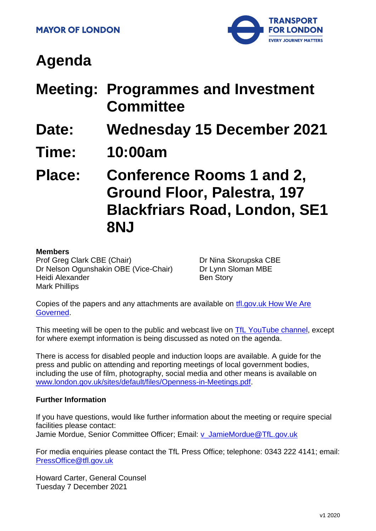

# **Agenda**

- **Meeting: Programmes and Investment Committee**
- **Date: Wednesday 15 December 2021**
- **Time: 10:00am**

**Place: Conference Rooms 1 and 2, Ground Floor, Palestra, 197 Blackfriars Road, London, SE1 8NJ**

#### **Members**

Prof Greg Clark CBE (Chair) Dr Nelson Ogunshakin OBE (Vice-Chair) Heidi Alexander Mark Phillips

Dr Nina Skorupska CBE Dr Lynn Sloman MBE Ben Story

Copies of the papers and any attachments are available on [tfl.gov.uk How We Are](http://www.tfl.gov.uk/corporate/about-tfl/how-we-work/how-we-are-governed)  [Governed.](http://www.tfl.gov.uk/corporate/about-tfl/how-we-work/how-we-are-governed)

This meeting will be open to the public and webcast live on [TfL YouTube channel,](https://www.youtube.com/watch?v=_2U9viPQ9WE&list=PLtnlusA0Zoggk4qvN68OcnD9k_7B8cY_d) except for where exempt information is being discussed as noted on the agenda.

There is access for disabled people and induction loops are available. A guide for the press and public on attending and reporting meetings of local government bodies, including the use of film, photography, social media and other means is available on [www.london.gov.uk/sites/default/files/Openness-in-Meetings.pdf.](http://www.london.gov.uk/sites/default/files/Openness-in-Meetings.pdf)

### **Further Information**

If you have questions, would like further information about the meeting or require special facilities please contact: Jamie Mordue, Senior Committee Officer; Email: [v\\_JamieMordue@TfL.gov.uk](mailto:v_JamieMordue@TfL.gov.uk)

For media enquiries please contact the TfL Press Office; telephone: 0343 222 4141; email: [PressOffice@tfl.gov.uk](mailto:PressOffice@tfl.gov.uk)

Howard Carter, General Counsel Tuesday 7 December 2021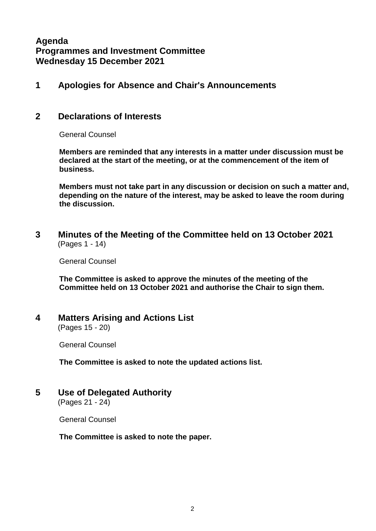# **Agenda Programmes and Investment Committee Wednesday 15 December 2021**

### **1 Apologies for Absence and Chair's Announcements**

### **2 Declarations of Interests**

General Counsel

**Members are reminded that any interests in a matter under discussion must be declared at the start of the meeting, or at the commencement of the item of business.**

**Members must not take part in any discussion or decision on such a matter and, depending on the nature of the interest, may be asked to leave the room during the discussion.**

**3 Minutes of the Meeting of the Committee held on 13 October 2021** (Pages 1 - 14)

General Counsel

**The Committee is asked to approve the minutes of the meeting of the Committee held on 13 October 2021 and authorise the Chair to sign them.**

#### **4 Matters Arising and Actions List** (Pages 15 - 20)

General Counsel

**The Committee is asked to note the updated actions list.**

**5 Use of Delegated Authority**

(Pages 21 - 24)

General Counsel

**The Committee is asked to note the paper.**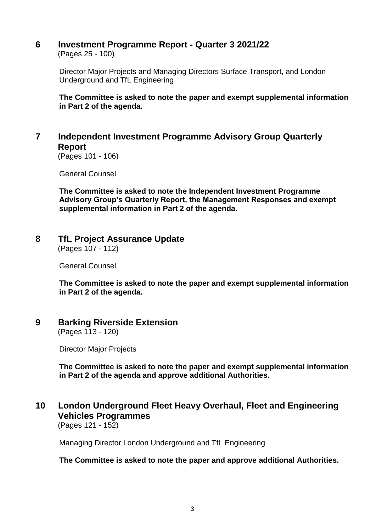# **6 Investment Programme Report - Quarter 3 2021/22**

(Pages 25 - 100)

Director Major Projects and Managing Directors Surface Transport, and London Underground and TfL Engineering

**The Committee is asked to note the paper and exempt supplemental information in Part 2 of the agenda.**

# **7 Independent Investment Programme Advisory Group Quarterly Report**

(Pages 101 - 106)

General Counsel

**The Committee is asked to note the Independent Investment Programme Advisory Group's Quarterly Report, the Management Responses and exempt supplemental information in Part 2 of the agenda.**

### **8 TfL Project Assurance Update**

(Pages 107 - 112)

General Counsel

**The Committee is asked to note the paper and exempt supplemental information in Part 2 of the agenda.**

# **9 Barking Riverside Extension**

(Pages 113 - 120)

Director Major Projects

**The Committee is asked to note the paper and exempt supplemental information in Part 2 of the agenda and approve additional Authorities.**

# **10 London Underground Fleet Heavy Overhaul, Fleet and Engineering Vehicles Programmes**

(Pages 121 - 152)

Managing Director London Underground and TfL Engineering

**The Committee is asked to note the paper and approve additional Authorities.**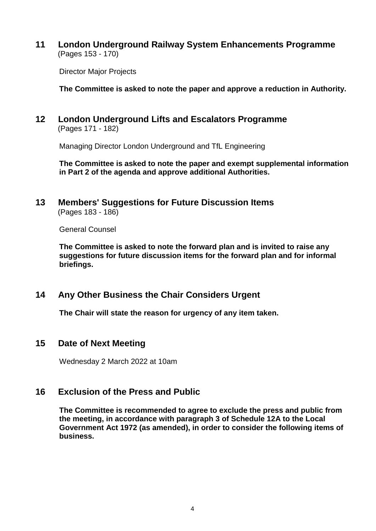**11 London Underground Railway System Enhancements Programme** (Pages 153 - 170)

Director Major Projects

**The Committee is asked to note the paper and approve a reduction in Authority.**

**12 London Underground Lifts and Escalators Programme** (Pages 171 - 182)

Managing Director London Underground and TfL Engineering

**The Committee is asked to note the paper and exempt supplemental information in Part 2 of the agenda and approve additional Authorities.**

#### **13 Members' Suggestions for Future Discussion Items** (Pages 183 - 186)

General Counsel

**The Committee is asked to note the forward plan and is invited to raise any suggestions for future discussion items for the forward plan and for informal briefings.**

**14 Any Other Business the Chair Considers Urgent**

**The Chair will state the reason for urgency of any item taken.**

### **15 Date of Next Meeting**

Wednesday 2 March 2022 at 10am

### **16 Exclusion of the Press and Public**

**The Committee is recommended to agree to exclude the press and public from the meeting, in accordance with paragraph 3 of Schedule 12A to the Local Government Act 1972 (as amended), in order to consider the following items of business.**